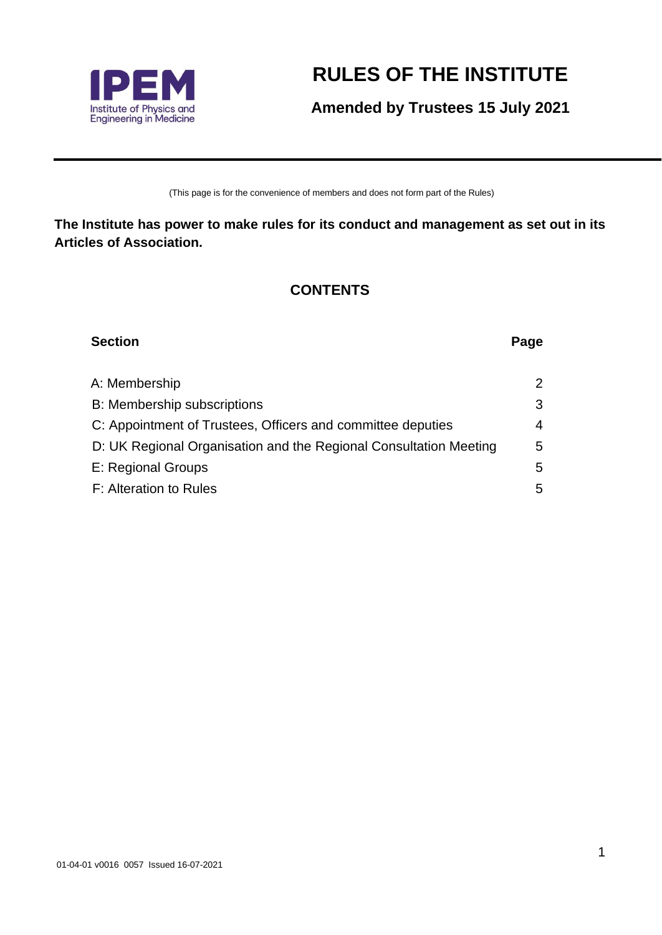

# **RULES OF THE INSTITUTE**

**Amended by Trustees 15 July 2021**

(This page is for the convenience of members and does not form part of the Rules)

**The Institute has power to make rules for its conduct and management as set out in its Articles of Association.**

## **CONTENTS**

| <b>Section</b>                                                    | Page |
|-------------------------------------------------------------------|------|
| A: Membership                                                     | 2    |
| <b>B: Membership subscriptions</b>                                | 3    |
| C: Appointment of Trustees, Officers and committee deputies       | 4    |
| D: UK Regional Organisation and the Regional Consultation Meeting | 5    |
| E: Regional Groups                                                | 5    |
| F: Alteration to Rules                                            | 5    |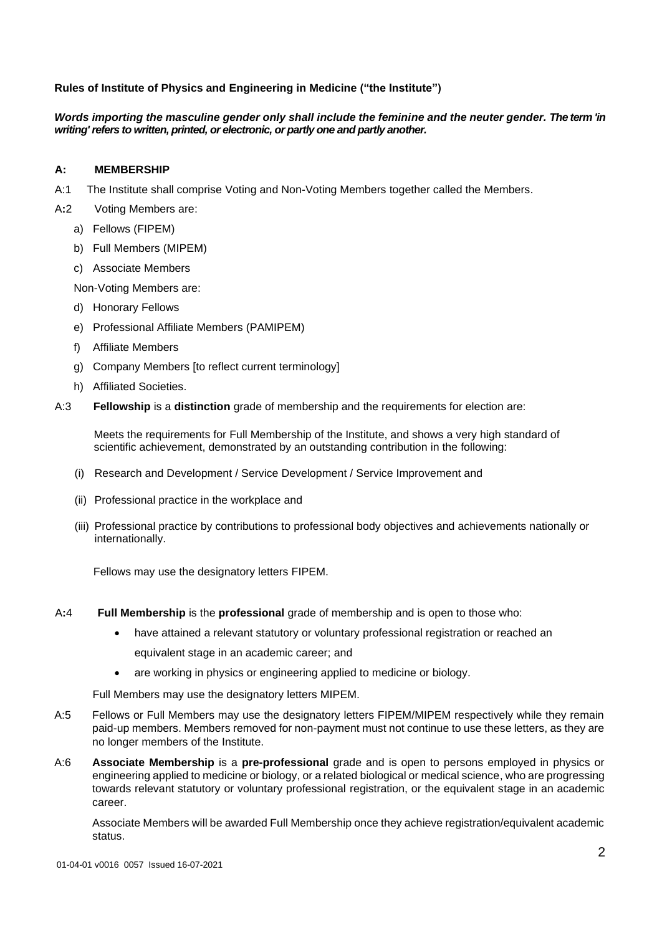#### **Rules of Institute of Physics and Engineering in Medicine ("the Institute")**

#### *Words importing the masculine gender only shall include the feminine and the neuter gender. The term 'in writing'refers to written, printed, or electronic, or partly one and partly another.*

#### **A: MEMBERSHIP**

- A:1 The Institute shall comprise Voting and Non-Voting Members together called the Members.
- A**:**2 Voting Members are:
	- a) Fellows (FIPEM)
	- b) Full Members (MIPEM)
	- c) Associate Members

Non-Voting Members are:

- d) Honorary Fellows
- e) Professional Affiliate Members (PAMIPEM)
- f) Affiliate Members
- g) Company Members [to reflect current terminology]
- h) Affiliated Societies.
- A:3 **Fellowship** is a **distinction** grade of membership and the requirements for election are:

Meets the requirements for Full Membership of the Institute, and shows a very high standard of scientific achievement, demonstrated by an outstanding contribution in the following:

- (i) Research and Development / Service Development / Service Improvement and
- (ii) Professional practice in the workplace and
- (iii) Professional practice by contributions to professional body objectives and achievements nationally or internationally.

Fellows may use the designatory letters FIPEM.

- A**:**4 **Full Membership** is the **professional** grade of membership and is open to those who:
	- have attained a relevant statutory or voluntary professional registration or reached an equivalent stage in an academic career; and
	- are working in physics or engineering applied to medicine or biology.

Full Members may use the designatory letters MIPEM.

- A:5 Fellows or Full Members may use the designatory letters FIPEM/MIPEM respectively while they remain paid-up members. Members removed for non-payment must not continue to use these letters, as they are no longer members of the Institute.
- A:6 **Associate Membership** is a **pre-professional** grade and is open to persons employed in physics or engineering applied to medicine or biology, or a related biological or medical science, who are progressing towards relevant statutory or voluntary professional registration, or the equivalent stage in an academic career.

Associate Members will be awarded Full Membership once they achieve registration/equivalent academic status.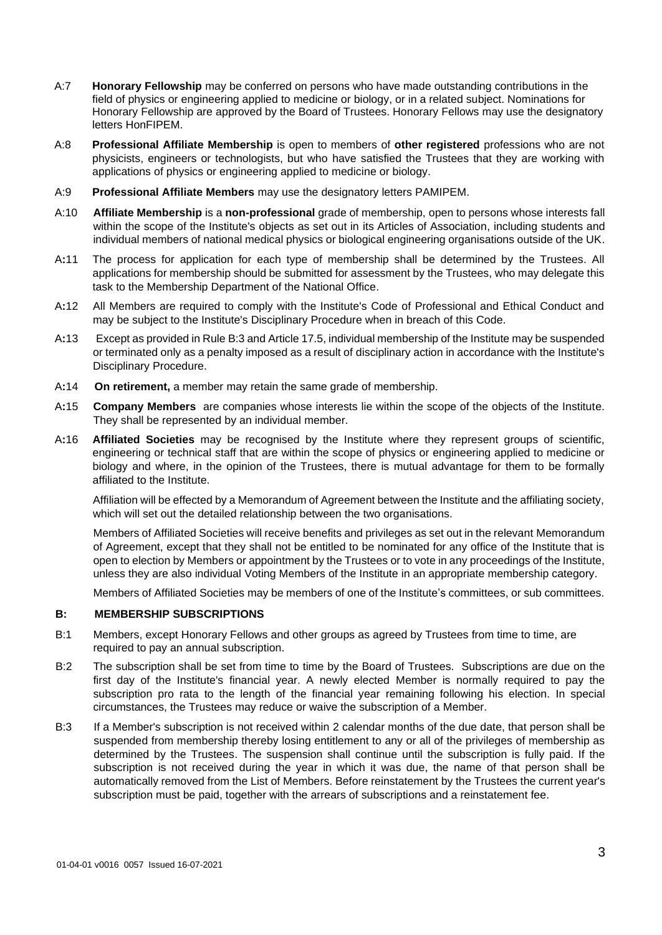- A:7 **Honorary Fellowship** may be conferred on persons who have made outstanding contributions in the field of physics or engineering applied to medicine or biology, or in a related subject. Nominations for Honorary Fellowship are approved by the Board of Trustees. Honorary Fellows may use the designatory letters HonFIPEM.
- A:8 **Professional Affiliate Membership** is open to members of **other registered** professions who are not physicists, engineers or technologists, but who have satisfied the Trustees that they are working with applications of physics or engineering applied to medicine or biology.
- A:9 **Professional Affiliate Members** may use the designatory letters PAMIPEM.
- A:10 **Affiliate Membership** is a **non-professional** grade of membership, open to persons whose interests fall within the scope of the Institute's objects as set out in its Articles of Association, including students and individual members of national medical physics or biological engineering organisations outside of the UK.
- A**:**11 The process for application for each type of membership shall be determined by the Trustees. All applications for membership should be submitted for assessment by the Trustees, who may delegate this task to the Membership Department of the National Office.
- A**:**12 All Members are required to comply with the Institute's Code of Professional and Ethical Conduct and may be subject to the Institute's Disciplinary Procedure when in breach of this Code.
- A**:**13 Except as provided in Rule B:3 and Article 17.5, individual membership of the Institute may be suspended or terminated only as a penalty imposed as a result of disciplinary action in accordance with the Institute's Disciplinary Procedure.
- A**:**14 **On retirement,** a member may retain the same grade of membership.
- A**:**15 **Company Members** are companies whose interests lie within the scope of the objects of the Institute. They shall be represented by an individual member.
- A**:**16 **Affiliated Societies** may be recognised by the Institute where they represent groups of scientific, engineering or technical staff that are within the scope of physics or engineering applied to medicine or biology and where, in the opinion of the Trustees, there is mutual advantage for them to be formally affiliated to the Institute.

Affiliation will be effected by a Memorandum of Agreement between the Institute and the affiliating society, which will set out the detailed relationship between the two organisations.

Members of Affiliated Societies will receive benefits and privileges as set out in the relevant Memorandum of Agreement, except that they shall not be entitled to be nominated for any office of the Institute that is open to election by Members or appointment by the Trustees or to vote in any proceedings of the Institute, unless they are also individual Voting Members of the Institute in an appropriate membership category.

Members of Affiliated Societies may be members of one of the Institute's committees, or sub committees.

#### **B: MEMBERSHIP SUBSCRIPTIONS**

- B:1Members, except Honorary Fellows and other groups as agreed by Trustees from time to time, are required to pay an annual subscription.
- B:2 The subscription shall be set from time to time by the Board of Trustees.Subscriptions are due on the first day of the Institute's financial year. A newly elected Member is normally required to pay the subscription pro rata to the length of the financial year remaining following his election. In special circumstances, the Trustees may reduce or waive the subscription of a Member.
- B:3 If a Member's subscription is not received within 2 calendar months of the due date, that person shall be suspended from membership thereby losing entitlement to any or all of the privileges of membership as determined by the Trustees. The suspension shall continue until the subscription is fully paid. If the subscription is not received during the year in which it was due, the name of that person shall be automatically removed from the List of Members. Before reinstatement by the Trustees the current year's subscription must be paid, together with the arrears of subscriptions and a reinstatement fee.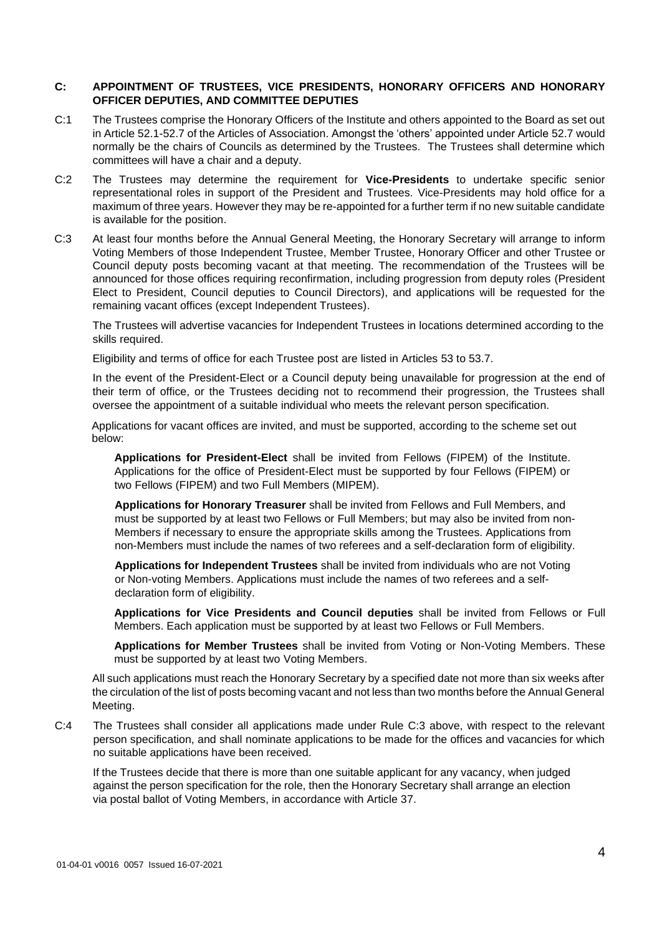#### **C: APPOINTMENT OF TRUSTEES, VICE PRESIDENTS, HONORARY OFFICERS AND HONORARY OFFICER DEPUTIES, AND COMMITTEE DEPUTIES**

- C:1 The Trustees comprise the Honorary Officers of the Institute and others appointed to the Board as set out in Article 52.1-52.7 of the Articles of Association. Amongst the 'others' appointed under Article 52.7 would normally be the chairs of Councils as determined by the Trustees. The Trustees shall determine which committees will have a chair and a deputy.
- C:2 The Trustees may determine the requirement for **Vice-Presidents** to undertake specific senior representational roles in support of the President and Trustees. Vice-Presidents may hold office for a maximum of three years. However they may be re-appointed for a further term if no new suitable candidate is available for the position.
- C:3 At least four months before the Annual General Meeting, the Honorary Secretary will arrange to inform Voting Members of those Independent Trustee, Member Trustee, Honorary Officer and other Trustee or Council deputy posts becoming vacant at that meeting. The recommendation of the Trustees will be announced for those offices requiring reconfirmation, including progression from deputy roles (President Elect to President, Council deputies to Council Directors), and applications will be requested for the remaining vacant offices (except Independent Trustees).

The Trustees will advertise vacancies for Independent Trustees in locations determined according to the skills required.

Eligibility and terms of office for each Trustee post are listed in Articles 53 to 53.7.

In the event of the President-Elect or a Council deputy being unavailable for progression at the end of their term of office, or the Trustees deciding not to recommend their progression, the Trustees shall oversee the appointment of a suitable individual who meets the relevant person specification.

Applications for vacant offices are invited, and must be supported, according to the scheme set out below:

**Applications for President-Elect** shall be invited from Fellows (FIPEM) of the Institute. Applications for the office of President-Elect must be supported by four Fellows (FIPEM) or two Fellows (FIPEM) and two Full Members (MIPEM).

**Applications for Honorary Treasurer** shall be invited from Fellows and Full Members, and must be supported by at least two Fellows or Full Members; but may also be invited from non-Members if necessary to ensure the appropriate skills among the Trustees. Applications from non-Members must include the names of two referees and a self-declaration form of eligibility.

**Applications for Independent Trustees** shall be invited from individuals who are not Voting or Non-voting Members. Applications must include the names of two referees and a selfdeclaration form of eligibility.

**Applications for Vice Presidents and Council deputies** shall be invited from Fellows or Full Members. Each application must be supported by at least two Fellows or Full Members.

**Applications for Member Trustees** shall be invited from Voting or Non-Voting Members. These must be supported by at least two Voting Members.

All such applications must reach the Honorary Secretary by a specified date not more than six weeks after the circulation of the list of posts becoming vacant and not less than two months before the Annual General Meeting.

C:4 The Trustees shall consider all applications made under Rule C:3 above, with respect to the relevant person specification, and shall nominate applications to be made for the offices and vacancies for which no suitable applications have been received.

If the Trustees decide that there is more than one suitable applicant for any vacancy, when judged against the person specification for the role, then the Honorary Secretary shall arrange an election via postal ballot of Voting Members, in accordance with Article 37.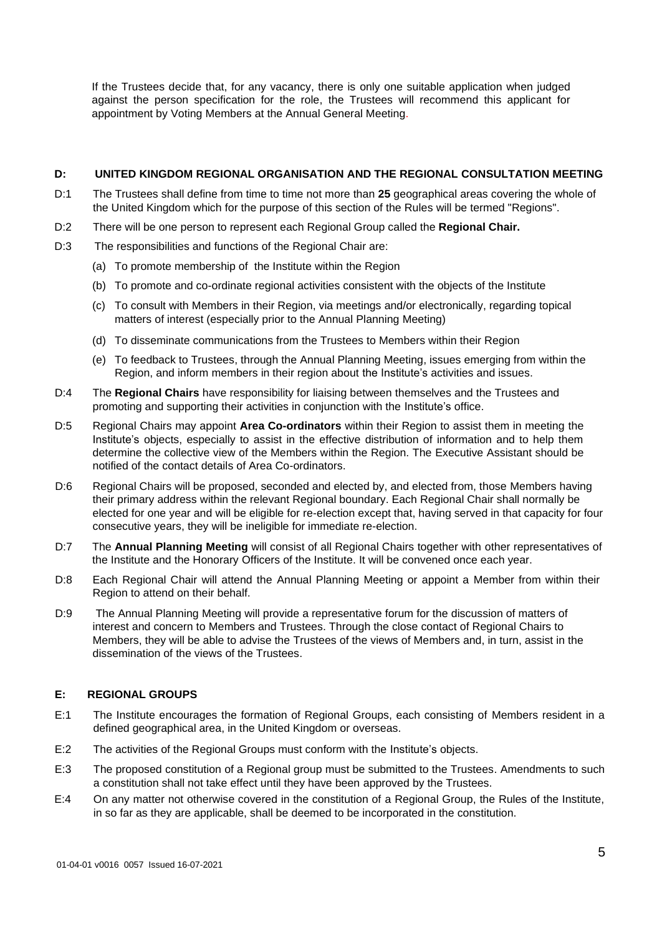If the Trustees decide that, for any vacancy, there is only one suitable application when judged against the person specification for the role, the Trustees will recommend this applicant for appointment by Voting Members at the Annual General Meeting.

#### **D: UNITED KINGDOM REGIONAL ORGANISATION AND THE REGIONAL CONSULTATION MEETING**

- D:1The Trustees shall define from time to time not more than **25** geographical areas covering the whole of the United Kingdom which for the purpose of this section of the Rules will be termed "Regions".
- D:2There will be one person to represent each Regional Group called the **Regional Chair.**
- D:3The responsibilities and functions of the Regional Chair are:
	- (a) To promote membership of the Institute within the Region
	- (b) To promote and co-ordinate regional activities consistent with the objects of the Institute
	- (c) To consult with Members in their Region, via meetings and/or electronically, regarding topical matters of interest (especially prior to the Annual Planning Meeting)
	- (d) To disseminate communications from the Trustees to Members within their Region
	- (e) To feedback to Trustees, through the Annual Planning Meeting, issues emerging from within the Region, and inform members in their region about the Institute's activities and issues.
- D:4The **Regional Chairs** have responsibility for liaising between themselves and the Trustees and promoting and supporting their activities in conjunction with the Institute's office.
- D:5 Regional Chairs may appoint **Area Co-ordinators** within their Region to assist them in meeting the Institute's objects, especially to assist in the effective distribution of information and to help them determine the collective view of the Members within the Region. The Executive Assistant should be notified of the contact details of Area Co-ordinators.
- D:6Regional Chairs will be proposed, seconded and elected by, and elected from, those Members having their primary address within the relevant Regional boundary. Each Regional Chair shall normally be elected for one year and will be eligible for re-election except that, having served in that capacity for four consecutive years, they will be ineligible for immediate re-election.
- D:7 The **Annual Planning Meeting** will consist of all Regional Chairs together with other representatives of the Institute and the Honorary Officers of the Institute. It will be convened once each year.
- D:8 Each Regional Chair will attend the Annual Planning Meeting or appoint a Member from within their Region to attend on their behalf.
- D:9The Annual Planning Meeting will provide a representative forum for the discussion of matters of interest and concern to Members and Trustees. Through the close contact of Regional Chairs to Members, they will be able to advise the Trustees of the views of Members and, in turn, assist in the dissemination of the views of the Trustees.

#### **E: REGIONAL GROUPS**

- E:1 The Institute encourages the formation of Regional Groups, each consisting of Members resident in a defined geographical area, in the United Kingdom or overseas.
- E:2The activities of the Regional Groups must conform with the Institute's objects.
- E:3 The proposed constitution of a Regional group must be submitted to the Trustees. Amendments to such a constitution shall not take effect until they have been approved by the Trustees.
- E:4 On any matter not otherwise covered in the constitution of a Regional Group, the Rules of the Institute, in so far as they are applicable, shall be deemed to be incorporated in the constitution.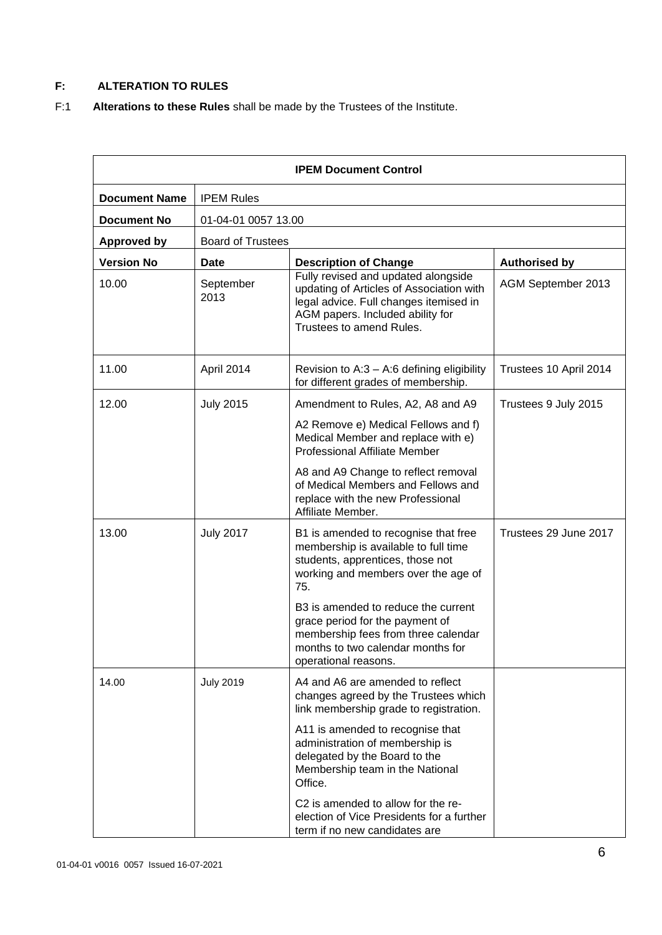### **F: ALTERATION TO RULES**

F:1 **Alterations to these Rules** shall be made by the Trustees of the Institute.

| <b>IPEM Document Control</b> |                          |                                                                                                                                                                                           |                        |  |  |
|------------------------------|--------------------------|-------------------------------------------------------------------------------------------------------------------------------------------------------------------------------------------|------------------------|--|--|
| <b>Document Name</b>         | <b>IPEM Rules</b>        |                                                                                                                                                                                           |                        |  |  |
| <b>Document No</b>           |                          | 01-04-01 0057 13.00                                                                                                                                                                       |                        |  |  |
| <b>Approved by</b>           | <b>Board of Trustees</b> |                                                                                                                                                                                           |                        |  |  |
| <b>Version No</b>            | Date                     | <b>Description of Change</b>                                                                                                                                                              | <b>Authorised by</b>   |  |  |
| 10.00                        | September<br>2013        | Fully revised and updated alongside<br>updating of Articles of Association with<br>legal advice. Full changes itemised in<br>AGM papers. Included ability for<br>Trustees to amend Rules. | AGM September 2013     |  |  |
| 11.00                        | April 2014               | Revision to A:3 - A:6 defining eligibility<br>for different grades of membership.                                                                                                         | Trustees 10 April 2014 |  |  |
| 12.00                        | <b>July 2015</b>         | Amendment to Rules, A2, A8 and A9                                                                                                                                                         | Trustees 9 July 2015   |  |  |
|                              |                          | A2 Remove e) Medical Fellows and f)<br>Medical Member and replace with e)<br><b>Professional Affiliate Member</b>                                                                         |                        |  |  |
|                              |                          | A8 and A9 Change to reflect removal<br>of Medical Members and Fellows and<br>replace with the new Professional<br>Affiliate Member.                                                       |                        |  |  |
| 13.00                        | <b>July 2017</b>         | B1 is amended to recognise that free<br>membership is available to full time<br>students, apprentices, those not<br>working and members over the age of<br>75.                            | Trustees 29 June 2017  |  |  |
|                              |                          | B3 is amended to reduce the current<br>grace period for the payment of<br>membership fees from three calendar<br>months to two calendar months for<br>operational reasons.                |                        |  |  |
| 14.00                        | <b>July 2019</b>         | A4 and A6 are amended to reflect<br>changes agreed by the Trustees which<br>link membership grade to registration.                                                                        |                        |  |  |
|                              |                          | A11 is amended to recognise that<br>administration of membership is<br>delegated by the Board to the<br>Membership team in the National<br>Office.                                        |                        |  |  |
|                              |                          | C2 is amended to allow for the re-<br>election of Vice Presidents for a further<br>term if no new candidates are                                                                          |                        |  |  |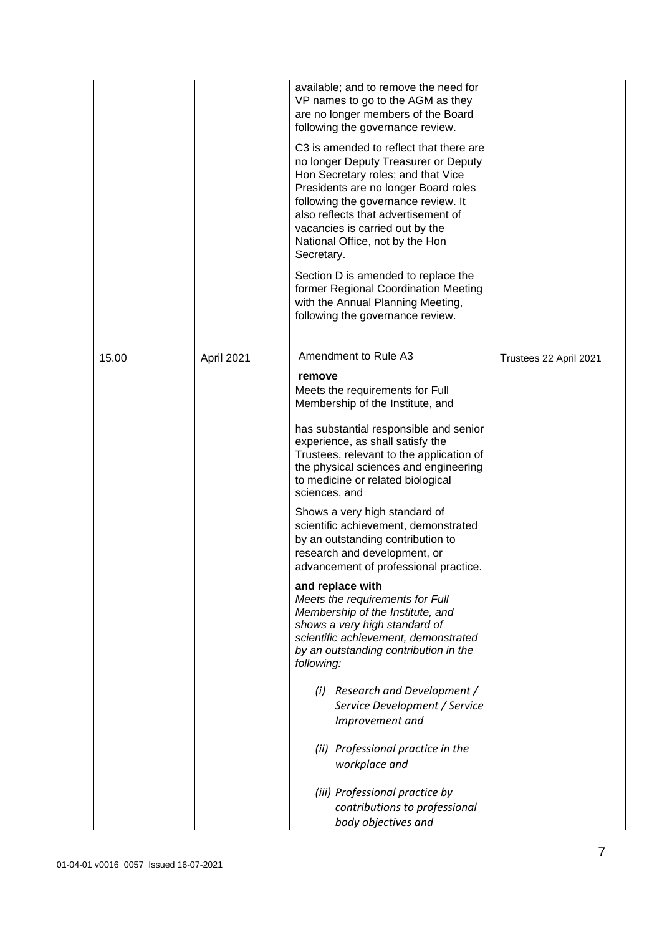|       |            | available; and to remove the need for<br>VP names to go to the AGM as they<br>are no longer members of the Board<br>following the governance review.<br>C <sub>3</sub> is amended to reflect that there are<br>no longer Deputy Treasurer or Deputy<br>Hon Secretary roles; and that Vice<br>Presidents are no longer Board roles<br>following the governance review. It<br>also reflects that advertisement of<br>vacancies is carried out by the<br>National Office, not by the Hon<br>Secretary.<br>Section D is amended to replace the<br>former Regional Coordination Meeting<br>with the Annual Planning Meeting,<br>following the governance review.                                                                                                                                                                                                                                                                                                                               |                        |
|-------|------------|-------------------------------------------------------------------------------------------------------------------------------------------------------------------------------------------------------------------------------------------------------------------------------------------------------------------------------------------------------------------------------------------------------------------------------------------------------------------------------------------------------------------------------------------------------------------------------------------------------------------------------------------------------------------------------------------------------------------------------------------------------------------------------------------------------------------------------------------------------------------------------------------------------------------------------------------------------------------------------------------|------------------------|
| 15.00 | April 2021 | Amendment to Rule A3<br>remove<br>Meets the requirements for Full<br>Membership of the Institute, and<br>has substantial responsible and senior<br>experience, as shall satisfy the<br>Trustees, relevant to the application of<br>the physical sciences and engineering<br>to medicine or related biological<br>sciences, and<br>Shows a very high standard of<br>scientific achievement, demonstrated<br>by an outstanding contribution to<br>research and development, or<br>advancement of professional practice.<br>and replace with<br>Meets the requirements for Full<br>Membership of the Institute, and<br>shows a very high standard of<br>scientific achievement, demonstrated<br>by an outstanding contribution in the<br>following:<br>Research and Development /<br>(i)<br>Service Development / Service<br>Improvement and<br>(ii) Professional practice in the<br>workplace and<br>(iii) Professional practice by<br>contributions to professional<br>body objectives and | Trustees 22 April 2021 |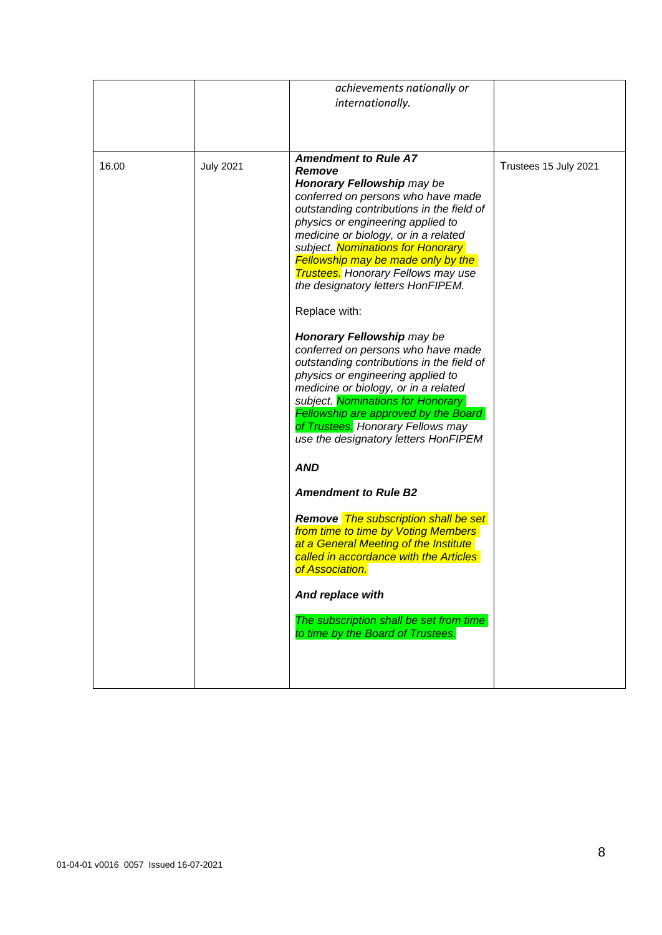|       |                  | achievements nationally or<br>internationally.                                                                                                                                                                                                                                                                                                                                                                                                                                                                                                                                                                                                              |                       |
|-------|------------------|-------------------------------------------------------------------------------------------------------------------------------------------------------------------------------------------------------------------------------------------------------------------------------------------------------------------------------------------------------------------------------------------------------------------------------------------------------------------------------------------------------------------------------------------------------------------------------------------------------------------------------------------------------------|-----------------------|
| 16.00 | <b>July 2021</b> | <b>Amendment to Rule A7</b><br>Remove<br>Honorary Fellowship may be<br>conferred on persons who have made<br>outstanding contributions in the field of<br>physics or engineering applied to<br>medicine or biology, or in a related<br>subject. Nominations for Honorary<br><b>Fellowship may be made only by the</b><br><b>Trustees.</b> Honorary Fellows may use<br>the designatory letters HonFIPEM.<br>Replace with:<br>Honorary Fellowship may be<br>conferred on persons who have made<br>outstanding contributions in the field of<br>physics or engineering applied to<br>medicine or biology, or in a related<br>subject. Nominations for Honorary | Trustees 15 July 2021 |
|       |                  | Fellowship are approved by the Board<br>of Trustees. Honorary Fellows may<br>use the designatory letters HonFIPEM<br><b>AND</b>                                                                                                                                                                                                                                                                                                                                                                                                                                                                                                                             |                       |
|       |                  | <b>Amendment to Rule B2</b><br><b>Remove</b> The subscription shall be set<br>from time to time by Voting Members<br>at a General Meeting of the Institute<br>called in accordance with the Articles<br>of Association.                                                                                                                                                                                                                                                                                                                                                                                                                                     |                       |
|       |                  | And replace with<br>The subscription shall be set from time<br>to time by the Board of Trustees.                                                                                                                                                                                                                                                                                                                                                                                                                                                                                                                                                            |                       |